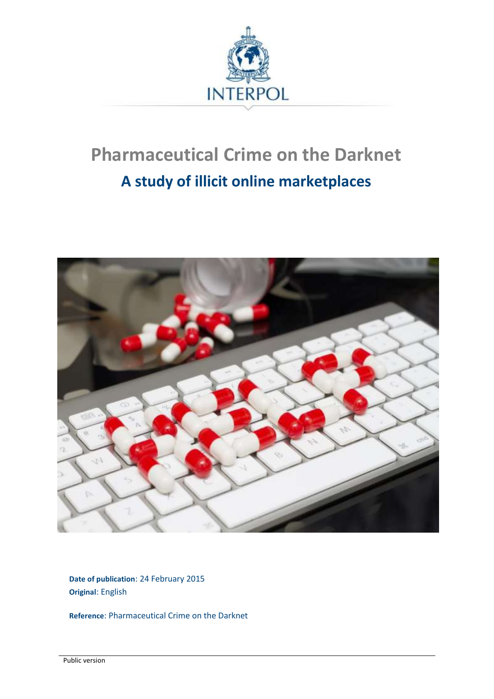

# **Pharmaceutical Crime on the Darknet A study of illicit online marketplaces**



**Date of publication**: 24 February 2015 **Original**: English

**Reference**: Pharmaceutical Crime on the Darknet

Public version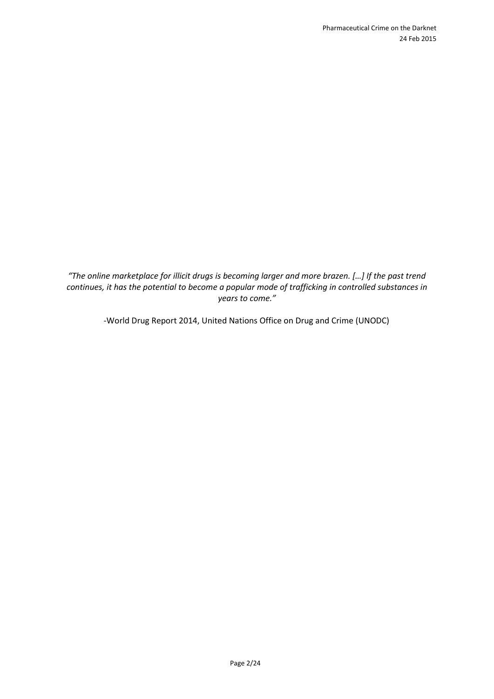*"The online marketplace for illicit drugs is becoming larger and more brazen. […] If the past trend continues, it has the potential to become a popular mode of trafficking in controlled substances in years to come."*

-World Drug Report 2014, United Nations Office on Drug and Crime (UNODC)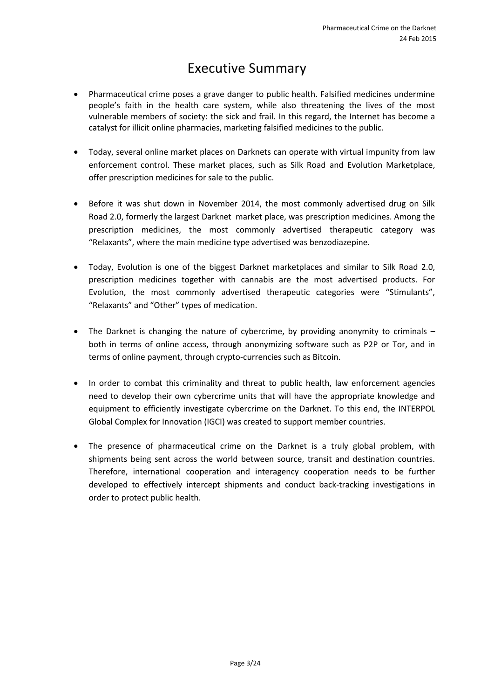# Executive Summary

- Pharmaceutical crime poses a grave danger to public health. Falsified medicines undermine people's faith in the health care system, while also threatening the lives of the most vulnerable members of society: the sick and frail. In this regard, the Internet has become a catalyst for illicit online pharmacies, marketing falsified medicines to the public.
- Today, several online market places on Darknets can operate with virtual impunity from law enforcement control. These market places, such as Silk Road and Evolution Marketplace, offer prescription medicines for sale to the public.
- Before it was shut down in November 2014, the most commonly advertised drug on Silk Road 2.0, formerly the largest Darknet market place, was prescription medicines. Among the prescription medicines, the most commonly advertised therapeutic category was "Relaxants", where the main medicine type advertised was benzodiazepine.
- Today, Evolution is one of the biggest Darknet marketplaces and similar to Silk Road 2.0, prescription medicines together with cannabis are the most advertised products. For Evolution, the most commonly advertised therapeutic categories were "Stimulants", "Relaxants" and "Other" types of medication.
- The Darknet is changing the nature of cybercrime, by providing anonymity to criminals both in terms of online access, through anonymizing software such as P2P or Tor, and in terms of online payment, through crypto-currencies such as Bitcoin.
- In order to combat this criminality and threat to public health, law enforcement agencies need to develop their own cybercrime units that will have the appropriate knowledge and equipment to efficiently investigate cybercrime on the Darknet. To this end, the INTERPOL Global Complex for Innovation (IGCI) was created to support member countries.
- The presence of pharmaceutical crime on the Darknet is a truly global problem, with shipments being sent across the world between source, transit and destination countries. Therefore, international cooperation and interagency cooperation needs to be further developed to effectively intercept shipments and conduct back-tracking investigations in order to protect public health.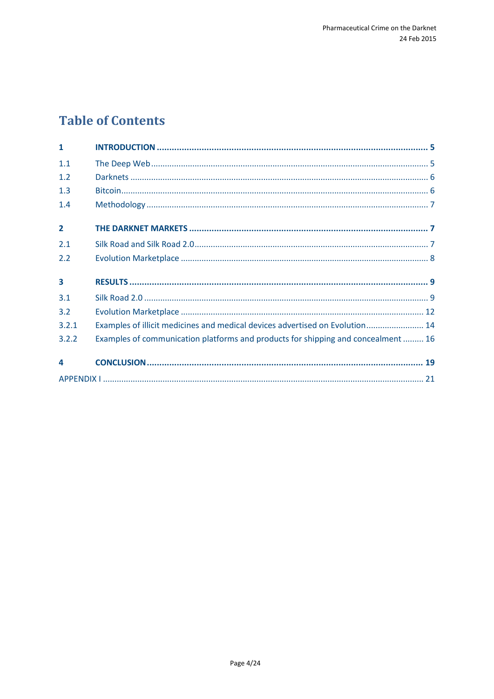# **Table of Contents**

| $\mathbf{1}$   |                                                                                   |
|----------------|-----------------------------------------------------------------------------------|
| 1.1            |                                                                                   |
| 1.2            |                                                                                   |
| 1.3            |                                                                                   |
| 1.4            |                                                                                   |
| $\overline{2}$ |                                                                                   |
| 2.1            |                                                                                   |
| 2.2            |                                                                                   |
| 3              |                                                                                   |
| 3.1            |                                                                                   |
| 3.2            |                                                                                   |
| 3.2.1          | Examples of illicit medicines and medical devices advertised on Evolution 14      |
| 3.2.2          | Examples of communication platforms and products for shipping and concealment  16 |
| 4              |                                                                                   |
|                |                                                                                   |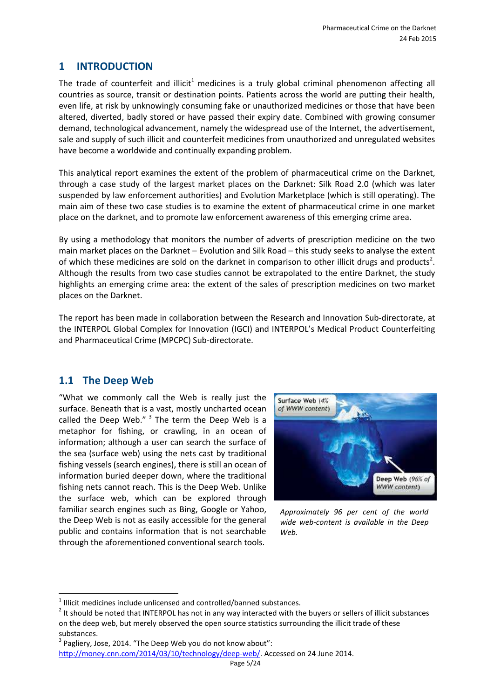#### <span id="page-4-0"></span>**1 INTRODUCTION**

The trade of counterfeit and illicit<sup>1</sup> medicines is a truly global criminal phenomenon affecting all countries as source, transit or destination points. Patients across the world are putting their health, even life, at risk by unknowingly consuming fake or unauthorized medicines or those that have been altered, diverted, badly stored or have passed their expiry date. Combined with growing consumer demand, technological advancement, namely the widespread use of the Internet, the advertisement, sale and supply of such illicit and counterfeit medicines from unauthorized and unregulated websites have become a worldwide and continually expanding problem.

This analytical report examines the extent of the problem of pharmaceutical crime on the Darknet, through a case study of the largest market places on the Darknet: Silk Road 2.0 (which was later suspended by law enforcement authorities) and Evolution Marketplace (which is still operating). The main aim of these two case studies is to examine the extent of pharmaceutical crime in one market place on the darknet, and to promote law enforcement awareness of this emerging crime area.

By using a methodology that monitors the number of adverts of prescription medicine on the two main market places on the Darknet – Evolution and Silk Road – this study seeks to analyse the extent of which these medicines are sold on the darknet in comparison to other illicit drugs and products<sup>2</sup>. Although the results from two case studies cannot be extrapolated to the entire Darknet, the study highlights an emerging crime area: the extent of the sales of prescription medicines on two market places on the Darknet.

The report has been made in collaboration between the Research and Innovation Sub-directorate, at the INTERPOL Global Complex for Innovation (IGCI) and INTERPOL's Medical Product Counterfeiting and Pharmaceutical Crime (MPCPC) Sub-directorate.

#### <span id="page-4-1"></span>**1.1 The Deep Web**

 $\overline{a}$ 

"What we commonly call the Web is really just the surface. Beneath that is a vast, mostly uncharted ocean called the Deep Web."  $3$  The term the Deep Web is a metaphor for fishing, or crawling, in an ocean of information; although a user can search the surface of the sea (surface web) using the nets cast by traditional fishing vessels (search engines), there is still an ocean of information buried deeper down, where the traditional fishing nets cannot reach. This is the Deep Web. Unlike the surface web, which can be explored through familiar search engines such as Bing, Google or Yahoo, the Deep Web is not as easily accessible for the general public and contains information that is not searchable through the aforementioned conventional search tools.



*Approximately 96 per cent of the world wide web-content is available in the Deep Web.*

 $<sup>1</sup>$  Illicit medicines include unlicensed and controlled/banned substances.</sup>

 $^2$  It should be noted that INTERPOL has not in any way interacted with the buyers or sellers of illicit substances on the deep web, but merely observed the open source statistics surrounding the illicit trade of these substances.

 $3$  Pagliery, Jose, 2014. "The Deep Web you do not know about":

[http://money.cnn.com/2014/03/10/technology/deep-web/.](http://money.cnn.com/2014/03/10/technology/deep-web/) Accessed on 24 June 2014.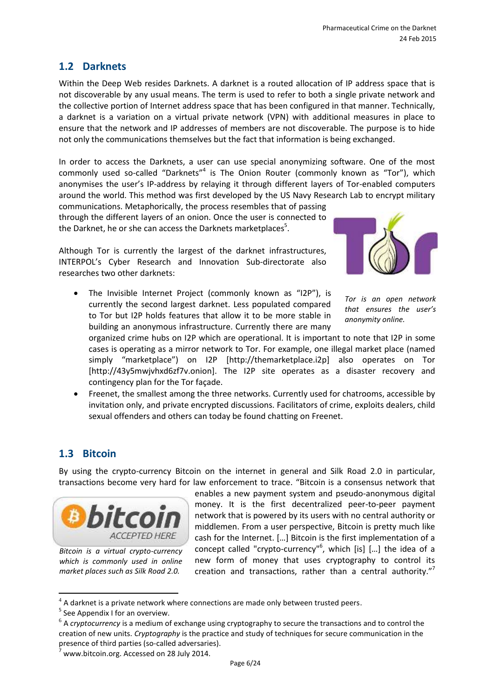## <span id="page-5-0"></span>**1.2 Darknets**

Within the Deep Web resides Darknets. A darknet is a routed allocation of IP address space that is not discoverable by any usual means. The term is used to refer to both a single private network and the collective portion of Internet address space that has been configured in that manner. Technically, a darknet is a variation on a virtual private network (VPN) with additional measures in place to ensure that the network and IP addresses of members are not discoverable. The purpose is to hide not only the communications themselves but the fact that information is being exchanged.

In order to access the Darknets, a user can use special anonymizing software. One of the most commonly used so-called "Darknets"<sup>4</sup> is The Onion Router (commonly known as "Tor"), which anonymises the user's IP-address by relaying it through different layers of Tor-enabled computers around the world. This method was first developed by the US Navy Research Lab to encrypt military

communications. Metaphorically, the process resembles that of passing through the different layers of an onion. Once the user is connected to the Darknet, he or she can access the Darknets marketplaces<sup>5</sup>.

Although Tor is currently the largest of the darknet infrastructures, INTERPOL's Cyber Research and Innovation Sub-directorate also researches two other darknets:

 The Invisible Internet Project (commonly known as "I2P"), is currently the second largest darknet. Less populated compared to Tor but I2P holds features that allow it to be more stable in building an anonymous infrastructure. Currently there are many

*Tor is an open network that ensures the user's anonymity online.*

organized crime hubs on I2P which are operational. It is important to note that I2P in some cases is operating as a mirror network to Tor. For example, one illegal market place (named simply "marketplace") on I2P [http://themarketplace.i2p] also operates on Tor [http://43y5mwjvhxd6zf7v.onion]. The I2P site operates as a disaster recovery and contingency plan for the Tor façade.

 Freenet, the smallest among the three networks. Currently used for chatrooms, accessible by invitation only, and private encrypted discussions. Facilitators of crime, exploits dealers, child sexual offenders and others can today be found chatting on Freenet.

# <span id="page-5-1"></span>**1.3 Bitcoin**

 $\overline{a}$ 

By using the crypto-currency Bitcoin on the internet in general and Silk Road 2.0 in particular, transactions become very hard for law enforcement to trace. "Bitcoin is a consensus network that

> enables a new payment system and pseudo-anonymous digital money. It is the first decentralized peer-to-peer payment network that is powered by its users with no central authority or middlemen. From a user perspective, Bitcoin is pretty much like cash for the Internet. […] Bitcoin is the first implementation of a concept called "crypto-currency"<sup>6</sup>, which [is] [...] the idea of a new form of money that uses cryptography to control its creation and transactions, rather than a central authority."<sup>7</sup>





*which is commonly used in online market places such as Silk Road 2.0.*

 $<sup>4</sup>$  A darknet is a private network where connections are made only between trusted peers.</sup>

<sup>&</sup>lt;sup>5</sup> See Appendix I for an overview.

<sup>6</sup> A *cryptocurrency* is a medium of exchange using cryptography to secure the transactions and to control the creation of new units. *Cryptography* is the practice and study of techniques for secure communication in the presence of third parties (so-called adversaries).

<sup>7</sup> www.bitcoin.org. Accessed on 28 July 2014.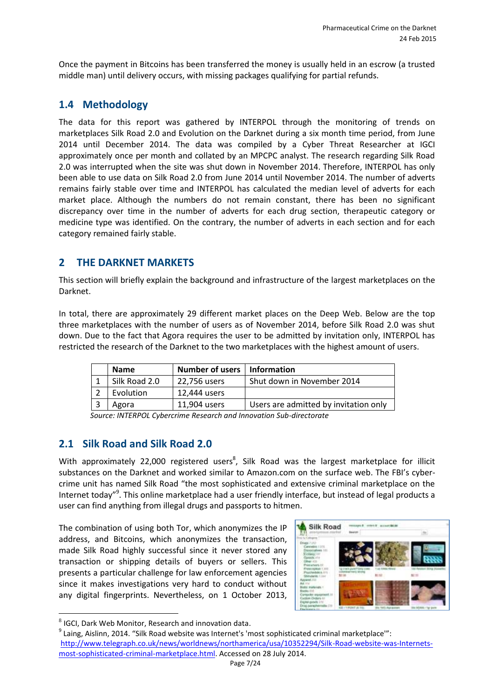Once the payment in Bitcoins has been transferred the money is usually held in an escrow (a trusted middle man) until delivery occurs, with missing packages qualifying for partial refunds.

## <span id="page-6-0"></span>**1.4 Methodology**

The data for this report was gathered by INTERPOL through the monitoring of trends on marketplaces Silk Road 2.0 and Evolution on the Darknet during a six month time period, from June 2014 until December 2014. The data was compiled by a Cyber Threat Researcher at IGCI approximately once per month and collated by an MPCPC analyst. The research regarding Silk Road 2.0 was interrupted when the site was shut down in November 2014. Therefore, INTERPOL has only been able to use data on Silk Road 2.0 from June 2014 until November 2014. The number of adverts remains fairly stable over time and INTERPOL has calculated the median level of adverts for each market place. Although the numbers do not remain constant, there has been no significant discrepancy over time in the number of adverts for each drug section, therapeutic category or medicine type was identified. On the contrary, the number of adverts in each section and for each category remained fairly stable.

## <span id="page-6-1"></span>**2 THE DARKNET MARKETS**

This section will briefly explain the background and infrastructure of the largest marketplaces on the Darknet.

In total, there are approximately 29 different market places on the Deep Web. Below are the top three marketplaces with the number of users as of November 2014, before Silk Road 2.0 was shut down. Due to the fact that Agora requires the user to be admitted by invitation only, INTERPOL has restricted the research of the Darknet to the two marketplaces with the highest amount of users.

| <b>Name</b>   | Number of users   Information |                                       |
|---------------|-------------------------------|---------------------------------------|
| Silk Road 2.0 | 22,756 users                  | Shut down in November 2014            |
| Evolution     | 12,444 users                  |                                       |
| Agora         | 11,904 users                  | Users are admitted by invitation only |

*Source: INTERPOL Cybercrime Research and Innovation Sub-directorate*

## <span id="page-6-2"></span>**2.1 Silk Road and Silk Road 2.0**

With approximately 22,000 registered users<sup>8</sup>, Silk Road was the largest marketplace for illicit substances on the Darknet and worked similar to Amazon.com on the surface web. The FBI's cybercrime unit has named Silk Road "the most sophisticated and extensive criminal marketplace on the Internet today"<sup>9</sup>. This online marketplace had a user friendly interface, but instead of legal products a user can find anything from illegal drugs and passports to hitmen.

The combination of using both Tor, which anonymizes the IP address, and Bitcoins, which anonymizes the transaction, made Silk Road highly successful since it never stored any transaction or shipping details of buyers or sellers. This presents a particular challenge for law enforcement agencies since it makes investigations very hard to conduct without any digital fingerprints. Nevertheless, on 1 October 2013,



l

 $^8$  IGCI, Dark Web Monitor, Research and innovation data.

 $^9$  Laing, Aislinn, 2014. "Silk Road website was Internet's 'most sophisticated criminal marketplace'": [http://www.telegraph.co.uk/news/worldnews/northamerica/usa/10352294/Silk-Road-website-was-Internets](http://www.telegraph.co.uk/news/worldnews/northamerica/usa/10352294/Silk-Road-website-was-Internets-most-sophisticated-criminal-marketplace.html)[most-sophisticated-criminal-marketplace.html.](http://www.telegraph.co.uk/news/worldnews/northamerica/usa/10352294/Silk-Road-website-was-Internets-most-sophisticated-criminal-marketplace.html) Accessed on 28 July 2014.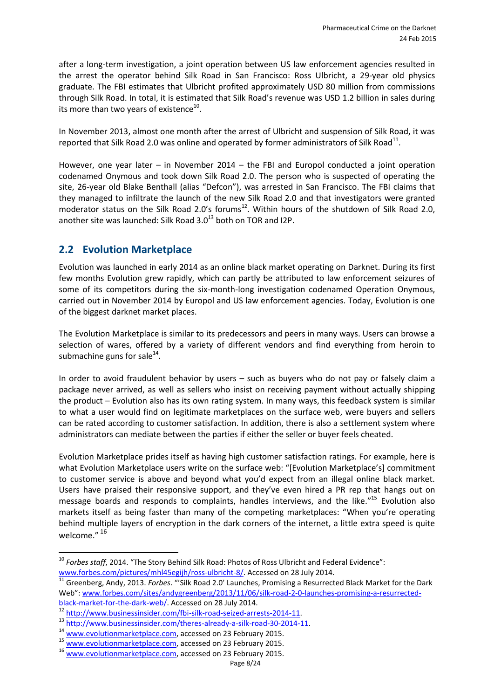after a long-term investigation, a joint operation between US law enforcement agencies resulted in the arrest the operator behind Silk Road in San Francisco: Ross Ulbricht, a 29-year old physics graduate. The FBI estimates that Ulbricht profited approximately USD 80 million from commissions through Silk Road. In total, it is estimated that Silk Road's revenue was USD 1.2 billion in sales during its more than two years of existence $^{10}$ .

In November 2013, almost one month after the arrest of Ulbricht and suspension of Silk Road, it was reported that Silk Road 2.0 was online and operated by former administrators of Silk Road<sup>11</sup>.

However, one year later – in November 2014 – the FBI and Europol conducted a joint operation codenamed Onymous and took down Silk Road 2.0. The person who is suspected of operating the site, 26-year old Blake Benthall (alias "Defcon"), was arrested in San Francisco. The FBI claims that they managed to infiltrate the launch of the new Silk Road 2.0 and that investigators were granted moderator status on the Silk Road 2.0's forums<sup>12</sup>. Within hours of the shutdown of Silk Road 2.0, another site was launched: Silk Road  $3.0^{13}$  both on TOR and I2P.

## <span id="page-7-0"></span>**2.2 Evolution Marketplace**

 $\overline{\phantom{a}}$ 

Evolution was launched in early 2014 as an online black market operating on Darknet. During its first few months Evolution grew rapidly, which can partly be attributed to law enforcement seizures of some of its competitors during the six-month-long investigation codenamed Operation Onymous, carried out in November 2014 by Europol and US law enforcement agencies. Today, Evolution is one of the biggest darknet market places.

The Evolution Marketplace is similar to its predecessors and peers in many ways. Users can browse a selection of wares, offered by a variety of different vendors and find everything from heroin to submachine guns for sale $^{14}$ .

In order to avoid fraudulent behavior by users – such as buyers who do not pay or falsely claim a package never arrived, as well as sellers who insist on receiving payment without actually shipping the product – Evolution also has its own rating system. In many ways, this feedback system is similar to what a user would find on legitimate marketplaces on the surface web, were buyers and sellers can be rated according to customer satisfaction. In addition, there is also a settlement system where administrators can mediate between the parties if either the seller or buyer feels cheated.

Evolution Marketplace prides itself as having high customer satisfaction ratings. For example, here is what Evolution Marketplace users write on the surface web: "[Evolution Marketplace's] commitment to customer service is above and beyond what you'd expect from an illegal online black market. Users have praised their responsive support, and they've even hired a PR rep that hangs out on message boards and responds to complaints, handles interviews, and the like."<sup>15</sup> Evolution also markets itself as being faster than many of the competing marketplaces: "When you're operating behind multiple layers of encryption in the dark corners of the internet, a little extra speed is quite welcome." <sup>16</sup>

<sup>&</sup>lt;sup>10</sup> Forbes staff, 2014. "The Story Behind Silk Road: Photos of Ross Ulbricht and Federal Evidence": [www.forbes.com/pictures/mhl45egijh/ross-ulbricht-8/.](http://www.forbes.com/pictures/mhl45egijh/ross-ulbricht-8/) Accessed on 28 July 2014.

<sup>11</sup> Greenberg, Andy, 2013. *Forbes*. "'Silk Road 2.0' Launches, Promising a Resurrected Black Market for the Dark Web": [www.forbes.com/sites/andygreenberg/2013/11/06/silk-road-2-0-launches-promising-a-resurrected](http://www.forbes.com/sites/andygreenberg/2013/11/06/silk-road-2-0-launches-promising-a-resurrected-black-market-for-the-dark-web/)[black-market-for-the-dark-web/.](http://www.forbes.com/sites/andygreenberg/2013/11/06/silk-road-2-0-launches-promising-a-resurrected-black-market-for-the-dark-web/) Accessed on 28 July 2014.

<sup>&</sup>lt;sup>12</sup> [http://www.businessinsider.com/fbi-silk-road-seized-arrests-2014-11.](http://www.businessinsider.com/fbi-silk-road-seized-arrests-2014-11)

<sup>13</sup> [http://www.businessinsider.com/theres-already-a-silk-road-30-2014-11.](http://www.businessinsider.com/theres-already-a-silk-road-30-2014-11)

<sup>14</sup> [www.evolutionmarketplace.com,](http://www.evolutionmarketplace.com/) accessed on 23 February 2015.

 $\frac{15}{16}$  [www.evolutionmarketplace.com,](http://www.evolutionmarketplace.com/) accessed on 23 February 2015.

[www.evolutionmarketplace.com,](http://www.evolutionmarketplace.com/) accessed on 23 February 2015.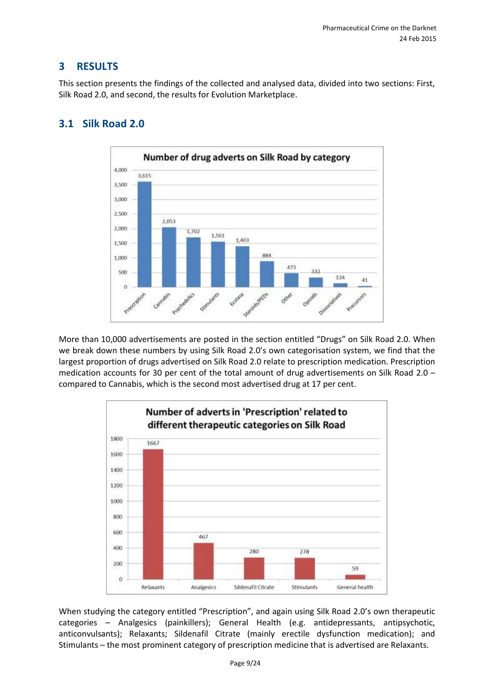#### <span id="page-8-0"></span>**3 RESULTS**

This section presents the findings of the collected and analysed data, divided into two sections: First, Silk Road 2.0, and second, the results for Evolution Marketplace.

#### <span id="page-8-1"></span>**3.1 Silk Road 2.0**



More than 10,000 advertisements are posted in the section entitled "Drugs" on Silk Road 2.0. When we break down these numbers by using Silk Road 2.0's own categorisation system, we find that the largest proportion of drugs advertised on Silk Road 2.0 relate to prescription medication. Prescription medication accounts for 30 per cent of the total amount of drug advertisements on Silk Road 2.0 – compared to Cannabis, which is the second most advertised drug at 17 per cent.



When studying the category entitled "Prescription", and again using Silk Road 2.0's own therapeutic categories – Analgesics (painkillers); General Health (e.g. antidepressants, antipsychotic, anticonvulsants); Relaxants; Sildenafil Citrate (mainly erectile dysfunction medication); and Stimulants – the most prominent category of prescription medicine that is advertised are Relaxants.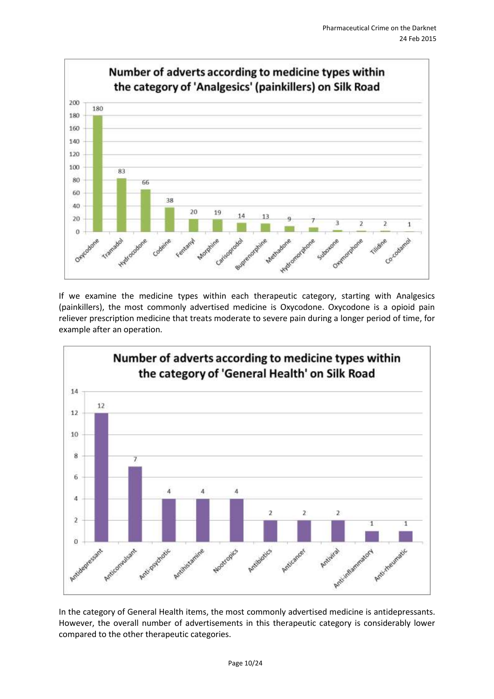

If we examine the medicine types within each therapeutic category, starting with Analgesics (painkillers), the most commonly advertised medicine is Oxycodone. Oxycodone is a opioid pain reliever prescription medicine that treats moderate to severe pain during a longer period of time, for example after an operation.



In the category of General Health items, the most commonly advertised medicine is antidepressants. However, the overall number of advertisements in this therapeutic category is considerably lower compared to the other therapeutic categories.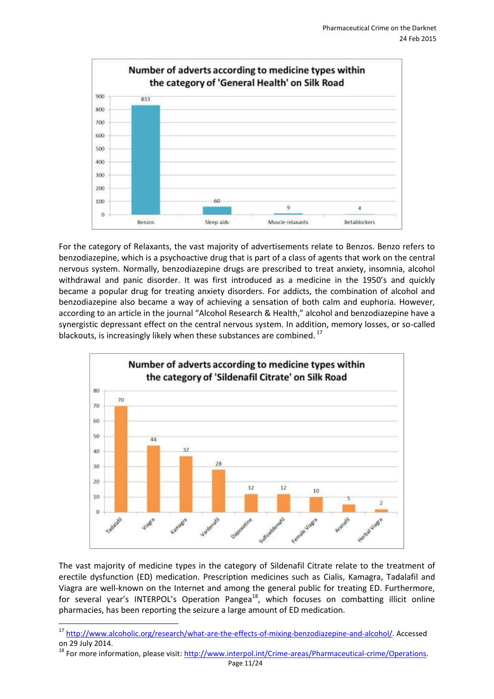

For the category of Relaxants, the vast majority of advertisements relate to Benzos. Benzo refers to benzodiazepine, which is a psychoactive drug that is part of a class of agents that work on the central nervous system. Normally, benzodiazepine drugs are prescribed to treat anxiety, insomnia, alcohol withdrawal and panic disorder. It was first introduced as a medicine in the 1950's and quickly became a popular drug for treating anxiety disorders. For addicts, the combination of alcohol and benzodiazepine also became a way of achieving a sensation of both calm and euphoria. However, according to an article in the journal "Alcohol Research & Health," alcohol and benzodiazepine have a synergistic depressant effect on the central nervous system. In addition, memory losses, or so-called blackouts, is increasingly likely when these substances are combined.<sup>17</sup>



The vast majority of medicine types in the category of Sildenafil Citrate relate to the treatment of erectile dysfunction (ED) medication. Prescription medicines such as Cialis, Kamagra, Tadalafil and Viagra are well-known on the Internet and among the general public for treating ED. Furthermore, for several year's INTERPOL's Operation Pangea<sup>18</sup>, which focuses on combatting illicit online pharmacies, has been reporting the seizure a large amount of ED medication.

 $\overline{\phantom{a}}$ 

<sup>&</sup>lt;sup>17</sup> [http://www.alcoholic.org/research/what-are-the-effects-of-mixing-benzodiazepine-and-alcohol/.](http://www.alcoholic.org/research/what-are-the-effects-of-mixing-benzodiazepine-and-alcohol/) Accessed on 29 July 2014.

<sup>&</sup>lt;sup>18</sup> For more information, please visit:<http://www.interpol.int/Crime-areas/Pharmaceutical-crime/Operations>.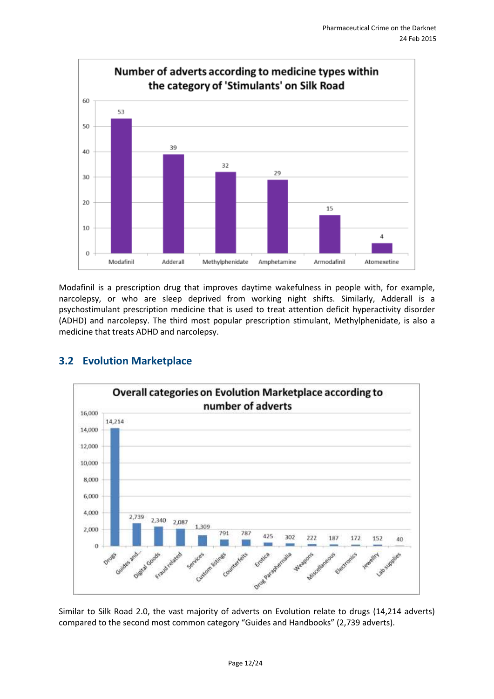

Modafinil is a prescription drug that improves daytime wakefulness in people with, for example, narcolepsy, or who are sleep deprived from working night shifts. Similarly, Adderall is a psychostimulant prescription medicine that is used to treat attention deficit hyperactivity disorder (ADHD) and narcolepsy. The third most popular prescription stimulant, Methylphenidate, is also a medicine that treats ADHD and narcolepsy.



## <span id="page-11-0"></span>**3.2 Evolution Marketplace**

Similar to Silk Road 2.0, the vast majority of adverts on Evolution relate to drugs (14,214 adverts) compared to the second most common category "Guides and Handbooks" (2,739 adverts).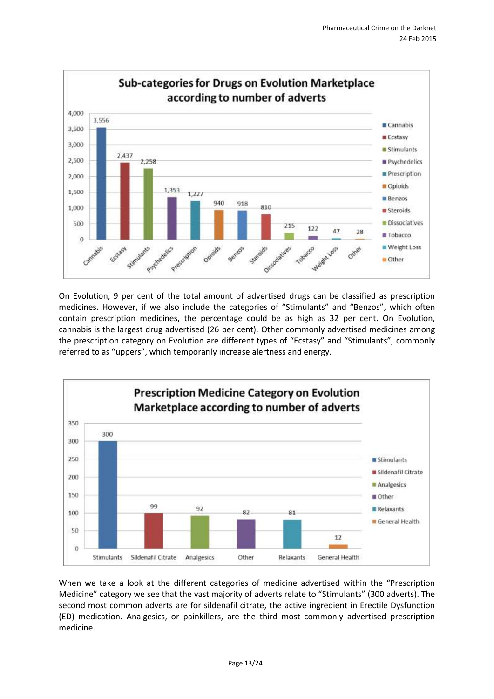

On Evolution, 9 per cent of the total amount of advertised drugs can be classified as prescription medicines. However, if we also include the categories of "Stimulants" and "Benzos", which often contain prescription medicines, the percentage could be as high as 32 per cent. On Evolution, cannabis is the largest drug advertised (26 per cent). Other commonly advertised medicines among the prescription category on Evolution are different types of "Ecstasy" and "Stimulants", commonly referred to as "uppers", which temporarily increase alertness and energy.



When we take a look at the different categories of medicine advertised within the "Prescription Medicine" category we see that the vast majority of adverts relate to "Stimulants" (300 adverts). The second most common adverts are for sildenafil citrate, the active ingredient in Erectile Dysfunction (ED) medication. Analgesics, or painkillers, are the third most commonly advertised prescription medicine.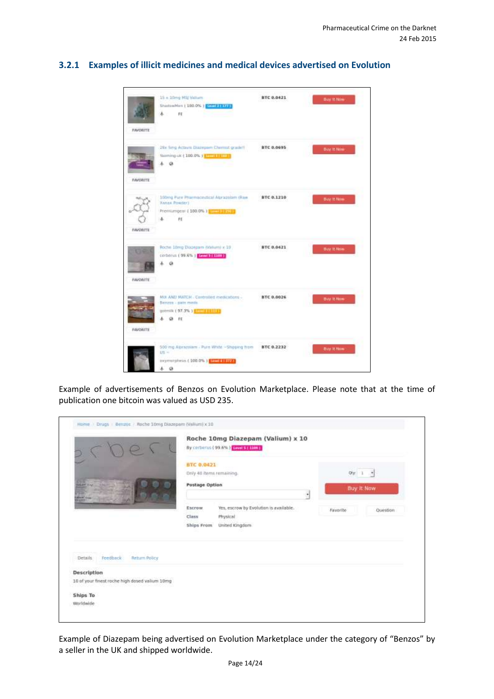| <b>FAVORITE</b> | 15 x 30mg NSI Valum<br>ShadowMan   100.0%   1000   131/5<br>Ħ                                                               | BTC 0.0421 | Boy It Now        |
|-----------------|-----------------------------------------------------------------------------------------------------------------------------|------------|-------------------|
| <b>FAVORITE</b> | 28r. Sing Actors Discrepan Chemist grade!<br>Naming-ok (100.0% ) a FESTIVITY<br>$\alpha$                                    | BTC 0.0695 | Bey It Nim        |
| <b>FAVORITE</b> | 100mg Pure Pharmaceutical Abrazolam diaw<br><b>Xanas Powder)</b><br>Premiumgear (100.0%) [ [ [ ] ] [ ] [ ] [ ]<br>Æ.<br>BE. | BTC 0.1210 | Bay It Nie        |
| <b>FAVORITE</b> | Roche Mimg Docepam Nortum) x 19.<br>corbonut (99.6%) Constitution<br>$ \alpha$                                              | BTC 0.0421 | <b>Boy It Now</b> |
| FAVORITE        | Mix AND MATCH - Controlled reedications -<br>Benzus - pain media<br>University ( 97.3% ) all a valid by<br><b>FE</b>        | BTC 0.0026 | <b>Boy It Now</b> |
|                 | 500 mg Aprapoiam - Pure White - Shipping from<br>1/2 %<br>paymorpheus ( 100.0% ) <b>( 100.1 ) ( 100.0</b><br>o              | BTC 0.2232 | <b>Buy It Now</b> |

#### <span id="page-13-0"></span>**3.2.1 Examples of illicit medicines and medical devices advertised on Evolution**

Example of advertisements of Benzos on Evolution Marketplace. Please note that at the time of publication one bitcoin was valued as USD 235.

|                                                               |                                        | Roche 10mg Diazepam (Valium) x 10<br>By corberus ( 99.6%) Transcribed |            |          |
|---------------------------------------------------------------|----------------------------------------|-----------------------------------------------------------------------|------------|----------|
|                                                               | BTC 0.0421<br>Only 40 items remaining. |                                                                       | One.       | æ,       |
| $\frac{1}{\sqrt{2}}\sum_{i=1}^{n} \frac{1}{\sqrt{2}}$         | Postage Option                         | $\cdot$                                                               | Buy it Now |          |
| $\mathbb{Z}$                                                  | Escrow<br>Class<br>Ships From          | Yes, escrow by Evolution is available.<br>Physical<br>United Kingdom  | Favorite   | Question |
| Feedback<br>Rebum Policy<br>Details:                          |                                        |                                                                       |            |          |
| Description<br>10 of your finest roche high dosed vallum 10mg |                                        |                                                                       |            |          |
| Ships To                                                      |                                        |                                                                       |            |          |
|                                                               |                                        |                                                                       |            |          |

Example of Diazepam being advertised on Evolution Marketplace under the category of "Benzos" by a seller in the UK and shipped worldwide.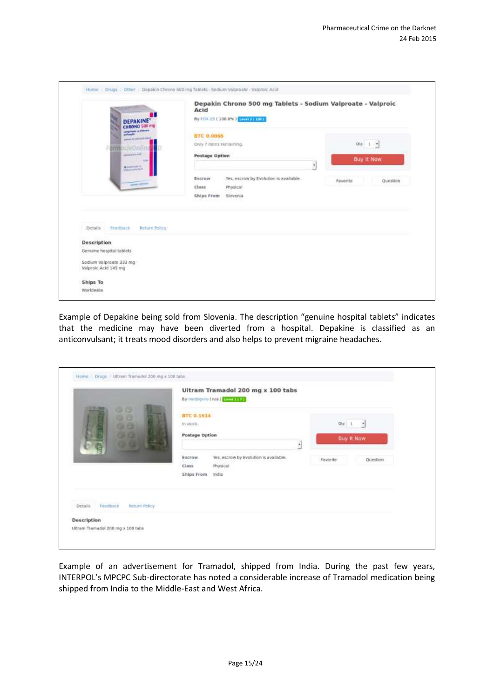| CHRONO 500 IIIE<br>program is shown<br><b>BTC 0.0066</b><br>served & policies is release<br>$Qk_F = 1$<br>Only 7 thems remaining.<br>armocieCalino<br>providents and<br><b>Postage Option</b><br><b>Buy It Now</b><br>o<br>히<br><b>H</b> Grey College<br>present content and<br>Yes, escrow by Evolution is available.<br>Escrow<br>Favorite<br><b>Advertising</b><br>Class<br>Physical<br>Slovenia<br>Ships From<br>3 HAOW<br>Details<br>Feedback<br>Return Policy: |                        |
|----------------------------------------------------------------------------------------------------------------------------------------------------------------------------------------------------------------------------------------------------------------------------------------------------------------------------------------------------------------------------------------------------------------------------------------------------------------------|------------------------|
|                                                                                                                                                                                                                                                                                                                                                                                                                                                                      |                        |
|                                                                                                                                                                                                                                                                                                                                                                                                                                                                      | $\left  \cdot \right $ |
| <b>Description</b><br>Genuine hospital tablets                                                                                                                                                                                                                                                                                                                                                                                                                       |                        |
|                                                                                                                                                                                                                                                                                                                                                                                                                                                                      |                        |
|                                                                                                                                                                                                                                                                                                                                                                                                                                                                      | Question.              |
|                                                                                                                                                                                                                                                                                                                                                                                                                                                                      |                        |
| Sodium Valproate 333 mg                                                                                                                                                                                                                                                                                                                                                                                                                                              |                        |
|                                                                                                                                                                                                                                                                                                                                                                                                                                                                      |                        |
|                                                                                                                                                                                                                                                                                                                                                                                                                                                                      |                        |
|                                                                                                                                                                                                                                                                                                                                                                                                                                                                      |                        |
| Valproic Acid 145 mg                                                                                                                                                                                                                                                                                                                                                                                                                                                 |                        |
| Ships To                                                                                                                                                                                                                                                                                                                                                                                                                                                             |                        |

Example of Depakine being sold from Slovenia. The description "genuine hospital tablets" indicates that the medicine may have been diverted from a hospital. Depakine is classified as an anticonvulsant; it treats mood disorders and also helps to prevent migraine headaches.

|                                              | Ultram Tramadol 200 mg x 100 tabs<br>By medispuns Cryle 1 Doctor (20)                                      |                              |
|----------------------------------------------|------------------------------------------------------------------------------------------------------------|------------------------------|
| 00<br>00<br>$00 - 000$<br>l<br>66<br>看<br>09 | ВТС 0.1614<br>In stock.<br><b>Postage Option</b><br>치                                                      | $Q(x) = 1$<br>Buy It Now     |
|                                              | Yes, escrow by Evolution is available.<br>Escrow<br><b>Class</b><br>Physical<br>Ships From<br><b>kidia</b> | Favorite:<br><b>Düestion</b> |
| Details<br>Feedback<br><b>Return Policy</b>  |                                                                                                            |                              |

Example of an advertisement for Tramadol, shipped from India. During the past few years, INTERPOL's MPCPC Sub-directorate has noted a considerable increase of Tramadol medication being shipped from India to the Middle-East and West Africa.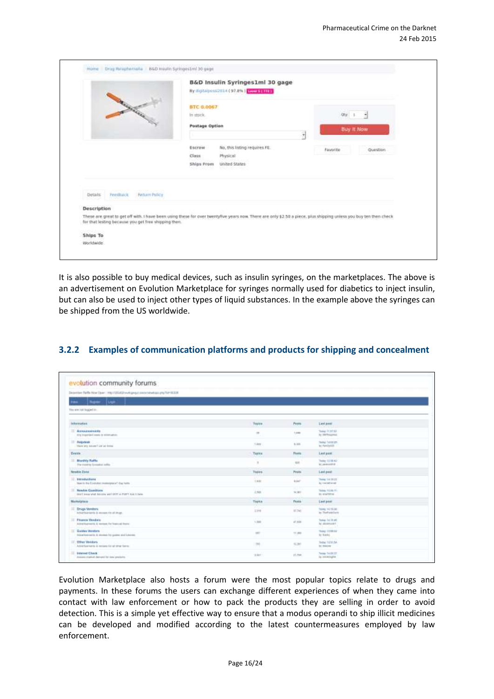|                                                                   | <b>B&amp;D Insulin Syringes1ml 30 gage</b><br>By diptalposi2014 (97.8%) [Sweet 1221]                                                                               |                              |
|-------------------------------------------------------------------|--------------------------------------------------------------------------------------------------------------------------------------------------------------------|------------------------------|
|                                                                   | BTC 0.0067<br>In strock.<br>Postage Option                                                                                                                         | Buy it Now<br>3              |
|                                                                   | No, this listing requires FE.<br>Escrow<br>Class<br>Physical<br><b>United States</b><br>Ships From<br><b>Information Company</b>                                   | <b>Firvorite</b><br>Question |
| <b>Betram Pulicy</b><br>Feedback<br><b>Details</b><br>Description |                                                                                                                                                                    |                              |
| for that lesting because you get free shipping then.              | These are great to get off with. I have been using these for over twentyfive years now. There are only \$2.50 a piece, plus shipping unless you buy ten then check |                              |
|                                                                   |                                                                                                                                                                    |                              |
| Ships To                                                          |                                                                                                                                                                    |                              |

It is also possible to buy medical devices, such as insulin syringes, on the marketplaces. The above is an advertisement on Evolution Marketplace for syringes normally used for diabetics to inject insulin, but can also be used to inject other types of liquid substances. In the example above the syringes can be shipped from the US worldwide.

| Departer Refle Hoe Daw - Http://AlaSilrowicange.commonwearu.ptp/birtiis300               |                 |                |                                           |
|------------------------------------------------------------------------------------------|-----------------|----------------|-------------------------------------------|
| <b>Now</b><br><b>Just</b>                                                                |                 |                |                                           |
| Vice over 240 boated in-                                                                 |                 |                |                                           |
| Information                                                                              | Teatre          | Paraha.        | Limit point                               |
| ٠<br>Articularments<br>ling imperial many or strengthen.                                 | $\sim$          | 1,046          | Tomas FEATURE<br>3 29 Throughlas          |
| 10 Holochest<br>We're any successful at inning                                           | tites.          | 1.1%           | tions factories<br>in riveryons           |
| Events.<br><b>STANDARD</b>                                                               | <b>Toples</b>   | <b>Floate:</b> | Lest post                                 |
| <b>III</b> . Monthly Ruths<br>He course founded tolla.                                   | $\rightarrow$   | <b>NH</b>      | Trailey 12/38-42<br><b>NUMBER</b>         |
| <b>Rowkie Zana</b>                                                                       | Teetro          | Pineto:        | Last pear.                                |
| 11. barndurfung<br>lies to be Linkder meterpack? Our tolls.                              | $\sim$<br>1,630 | <b>A</b> doct  | Thomas 1 & 1 & 222<br>Ed tractailline set |
| $\mathbb{R}$<br><b>Mendin Guardions</b><br>multising wid hours were erry a run such hea- | A.MIR           | mm<br>SLSIE!   | <b>Tomay FEIRE FL</b><br>49 Machine       |
| Marketateca                                                                              | <b>Topics</b>   | <b>Finds</b>   | Last peak                                 |
| Drugs Ventors<br>Advisionants & moves to all maps<br>an an                               | 3346            | sche           | Toppy 14-19 Str.<br>in The Frenchmit      |
| Pinancia Vandara<br>Americansents & recover for feature at theirs.                       | 1.346           | at six         | Tomas Ld Lt art<br>by abstracted I        |
| <b>Gaides Wenders</b><br>٠<br>Advertisements & money by guerre and luteries              | <b>SIET</b>     | 11, 200        | Thung 12,00 list<br>to kinhi.             |
| <b>USer Vendors</b><br>Ashed because to do resisted for all street benzo.                | TBE             | 15,201         | Side 121/14<br>by sharper.                |
| ٠<br><b><i><u>Bidament Climid</u></i></b><br>Assista market demand for law preducts.     | 3.81T           | 21.708         | Tender 1 & OD.37<br>Se announcement       |
|                                                                                          |                 |                |                                           |

#### <span id="page-15-0"></span>**3.2.2 Examples of communication platforms and products for shipping and concealment**

Evolution Marketplace also hosts a forum were the most popular topics relate to drugs and payments. In these forums the users can exchange different experiences of when they came into contact with law enforcement or how to pack the products they are selling in order to avoid detection. This is a simple yet effective way to ensure that a modus operandi to ship illicit medicines can be developed and modified according to the latest countermeasures employed by law enforcement.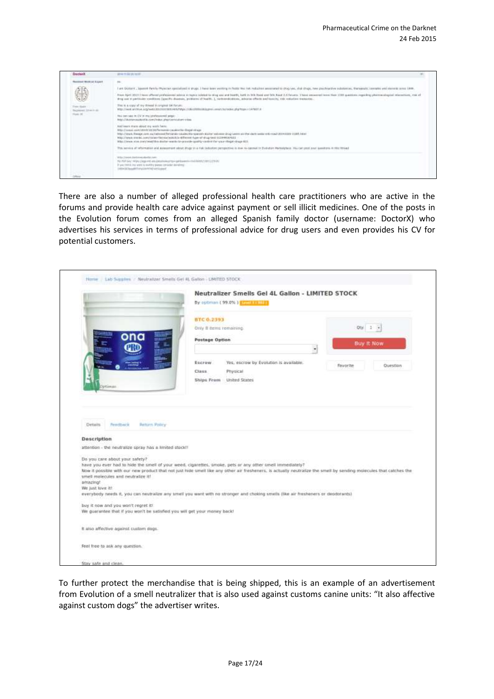| Disclorit.                     | 湖中川花は出版                                                                                                                                                                                                                                                                                                                                                                                                                                            |
|--------------------------------|----------------------------------------------------------------------------------------------------------------------------------------------------------------------------------------------------------------------------------------------------------------------------------------------------------------------------------------------------------------------------------------------------------------------------------------------------|
| <b>Resident Modeled Edgard</b> | dillo:                                                                                                                                                                                                                                                                                                                                                                                                                                             |
|                                | I art DOOUTY, Success Parenty Physician specialized in those boary weeking to huist the root restatuto association drug Law, shall thego, two poschouch we adultional, than possible construction and show                                                                                                                                                                                                                                         |
| \$                             | Free April 2022 2 lease officent professional scholar in register in the sing use and boatly, but in his Road and fulls, Boat 2.0 Faluers. Thisse assumptions their third againma regarding photography of annotation, iron of<br>dray and tryst-linker conditions (law-fit dealers), published of bualti. [ variousloations, advance affects and leasely) (this columbial memorial).                                                              |
|                                | That is a copy of my thread in cropinal bit farum;<br>9000 / Welk and the Auty Welk DOLESSEE HOW PROVIDED ENDINGER (4900) - HEATLESSEE (Particular 147000) &                                                                                                                                                                                                                                                                                       |
| 1.00                           | this cars say no CV in the professional page:<br>Rebort Precision in highly Audit Version after Market Victory                                                                                                                                                                                                                                                                                                                                     |
|                                | Add issues dram about my work henc-<br>NEW CHARGE ARRESTS ARRESTS TO THE RESIDENCE AND ARRESTS ARE<br>RSI-(Yeah, Realpoint Jackstown) (What's coupled a garden surg-advance in growth and the dark wells with the constitution of the first and<br>http://www.enedal.com/racare-facroaches.bpb/a-405weet-type-of-driag-less-stemped-broad-<br>Milas (Yelene, else) contribued this studier was to the provide spidely control the spide chape RT1. |
|                                | The service of whereaties and apartment about drugs to a Feb industries perspective is over to canned to Evaluation Platnostics. The can post and questions in Machinea                                                                                                                                                                                                                                                                            |
|                                | Miller (Valencia chiedro treas plantifia) control<br>No PDF bey: Hilps classroot are concerned to a particular in children's UKR (2) \$120.<br>If packets my wind is surely passe invider develop-<br>Indicated in a printer and the world building                                                                                                                                                                                                |
|                                |                                                                                                                                                                                                                                                                                                                                                                                                                                                    |

There are also a number of alleged professional health care practitioners who are active in the forums and provide health care advice against payment or sell illicit medicines. One of the posts in the Evolution forum comes from an alleged Spanish family doctor (username: DoctorX) who advertises his services in terms of professional advice for drug users and even provides his CV for potential customers.



To further protect the merchandise that is being shipped, this is an example of an advertisement from Evolution of a smell neutralizer that is also used against customs canine units: "It also affective against custom dogs" the advertiser writes.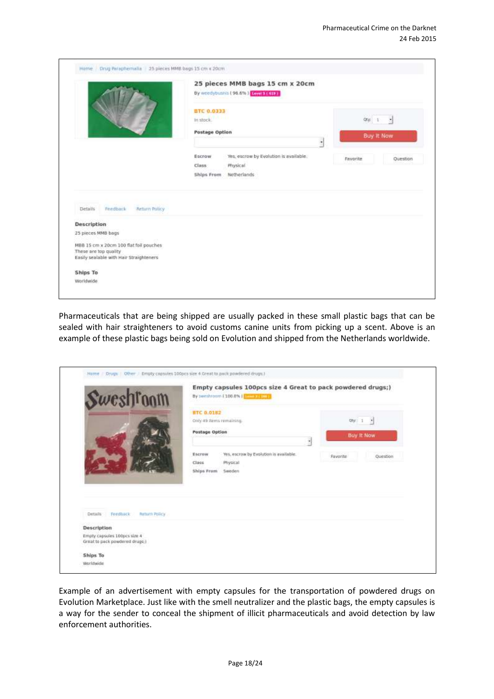|                                                                                                            |                                                  | 25 pieces MMB bags 15 cm x 20cm<br>By weedybushis ( 96.6% ) Levels ( 419 ) |           |                        |
|------------------------------------------------------------------------------------------------------------|--------------------------------------------------|----------------------------------------------------------------------------|-----------|------------------------|
|                                                                                                            | <b>BTC 0.0333</b><br>in stock.<br>Postage Option |                                                                            | $Qxy = 1$ | 리<br><b>Buy It Now</b> |
|                                                                                                            | Escrow<br><b>Class</b><br>Ships From             | ₫<br>Yes, escrow by Evolution is available.<br>Physical<br>Netherlands     | Favorite  | Question               |
| Feedback<br>Return Policy<br>Details<br>Description                                                        |                                                  |                                                                            |           |                        |
| 25 pieces MMB bags                                                                                         |                                                  |                                                                            |           |                        |
| MBB 15 cm x 20cm 100 flat foil pouches<br>These are top quality<br>Easily sealable with Hair Straighteners |                                                  |                                                                            |           |                        |
| Ships To                                                                                                   |                                                  |                                                                            |           |                        |
|                                                                                                            |                                                  |                                                                            |           |                        |

Pharmaceuticals that are being shipped are usually packed in these small plastic bags that can be sealed with hair straighteners to avoid customs canine units from picking up a scent. Above is an example of these plastic bags being sold on Evolution and shipped from the Netherlands worldwide.

| Only 49 items remaining.<br>Yes, escrow by Evolution is available.<br>Physical<br>Sweden | × | Favorite | Qby: 1<br>×<br><b>Buy It Now</b><br>Question |
|------------------------------------------------------------------------------------------|---|----------|----------------------------------------------|
|                                                                                          |   |          |                                              |
|                                                                                          |   |          |                                              |
|                                                                                          |   |          |                                              |
|                                                                                          |   |          |                                              |
|                                                                                          |   |          |                                              |
|                                                                                          |   |          |                                              |
|                                                                                          |   |          |                                              |
|                                                                                          |   |          |                                              |

Example of an advertisement with empty capsules for the transportation of powdered drugs on Evolution Marketplace. Just like with the smell neutralizer and the plastic bags, the empty capsules is a way for the sender to conceal the shipment of illicit pharmaceuticals and avoid detection by law enforcement authorities.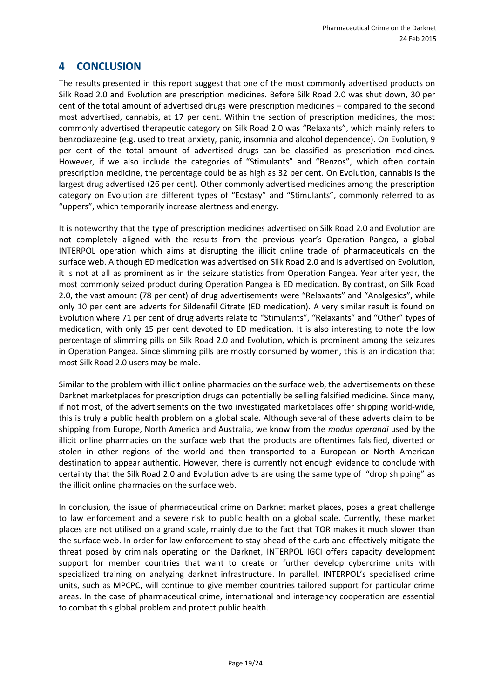#### <span id="page-18-0"></span>**4 CONCLUSION**

The results presented in this report suggest that one of the most commonly advertised products on Silk Road 2.0 and Evolution are prescription medicines. Before Silk Road 2.0 was shut down, 30 per cent of the total amount of advertised drugs were prescription medicines – compared to the second most advertised, cannabis, at 17 per cent. Within the section of prescription medicines, the most commonly advertised therapeutic category on Silk Road 2.0 was "Relaxants", which mainly refers to benzodiazepine (e.g. used to treat anxiety, panic, insomnia and alcohol dependence). On Evolution, 9 per cent of the total amount of advertised drugs can be classified as prescription medicines. However, if we also include the categories of "Stimulants" and "Benzos", which often contain prescription medicine, the percentage could be as high as 32 per cent. On Evolution, cannabis is the largest drug advertised (26 per cent). Other commonly advertised medicines among the prescription category on Evolution are different types of "Ecstasy" and "Stimulants", commonly referred to as "uppers", which temporarily increase alertness and energy.

It is noteworthy that the type of prescription medicines advertised on Silk Road 2.0 and Evolution are not completely aligned with the results from the previous year's Operation Pangea, a global INTERPOL operation which aims at disrupting the illicit online trade of pharmaceuticals on the surface web. Although ED medication was advertised on Silk Road 2.0 and is advertised on Evolution, it is not at all as prominent as in the seizure statistics from Operation Pangea. Year after year, the most commonly seized product during Operation Pangea is ED medication. By contrast, on Silk Road 2.0, the vast amount (78 per cent) of drug advertisements were "Relaxants" and "Analgesics", while only 10 per cent are adverts for Sildenafil Citrate (ED medication). A very similar result is found on Evolution where 71 per cent of drug adverts relate to "Stimulants", "Relaxants" and "Other" types of medication, with only 15 per cent devoted to ED medication. It is also interesting to note the low percentage of slimming pills on Silk Road 2.0 and Evolution, which is prominent among the seizures in Operation Pangea. Since slimming pills are mostly consumed by women, this is an indication that most Silk Road 2.0 users may be male.

Similar to the problem with illicit online pharmacies on the surface web, the advertisements on these Darknet marketplaces for prescription drugs can potentially be selling falsified medicine. Since many, if not most, of the advertisements on the two investigated marketplaces offer shipping world-wide, this is truly a public health problem on a global scale. Although several of these adverts claim to be shipping from Europe, North America and Australia, we know from the *modus operandi* used by the illicit online pharmacies on the surface web that the products are oftentimes falsified, diverted or stolen in other regions of the world and then transported to a European or North American destination to appear authentic. However, there is currently not enough evidence to conclude with certainty that the Silk Road 2.0 and Evolution adverts are using the same type of "drop shipping" as the illicit online pharmacies on the surface web.

In conclusion, the issue of pharmaceutical crime on Darknet market places, poses a great challenge to law enforcement and a severe risk to public health on a global scale. Currently, these market places are not utilised on a grand scale, mainly due to the fact that TOR makes it much slower than the surface web. In order for law enforcement to stay ahead of the curb and effectively mitigate the threat posed by criminals operating on the Darknet, INTERPOL IGCI offers capacity development support for member countries that want to create or further develop cybercrime units with specialized training on analyzing darknet infrastructure. In parallel, INTERPOL's specialised crime units, such as MPCPC, will continue to give member countries tailored support for particular crime areas. In the case of pharmaceutical crime, international and interagency cooperation are essential to combat this global problem and protect public health.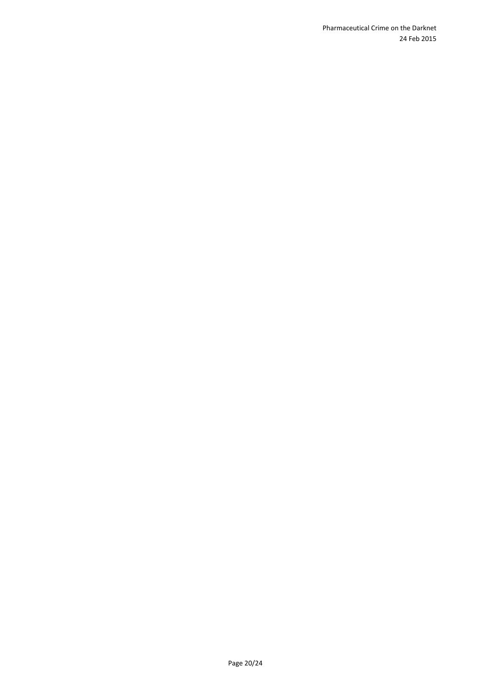<span id="page-19-0"></span>Pharmaceutical Crime on the Darknet 24 Feb 2015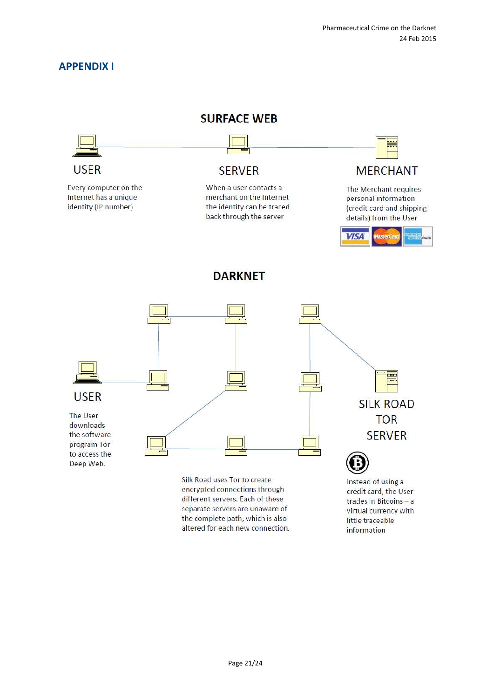## **APPENDIX I**

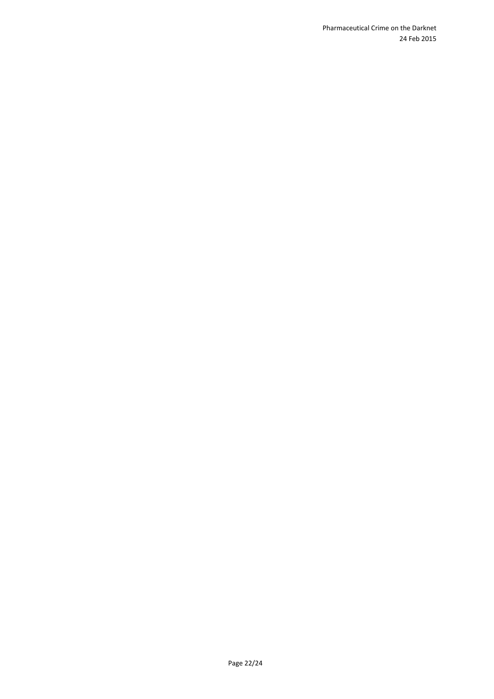Pharmaceutical Crime on the Darknet 24 Feb 2015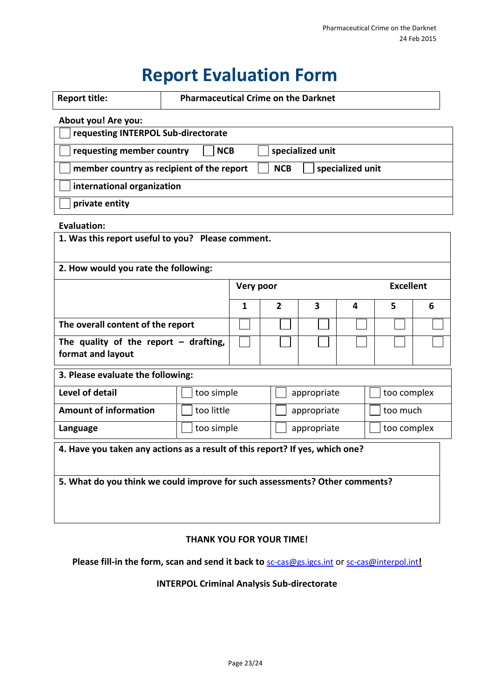# **Report Evaluation Form**

| <b>Pharmaceutical Crime on the Darknet</b><br><b>Report title:</b>           |                                          |           |  |  |  |                  |  |  |  |
|------------------------------------------------------------------------------|------------------------------------------|-----------|--|--|--|------------------|--|--|--|
| About you! Are you:                                                          |                                          |           |  |  |  |                  |  |  |  |
| requesting INTERPOL Sub-directorate                                          |                                          |           |  |  |  |                  |  |  |  |
| requesting member country<br><b>NCB</b><br>specialized unit                  |                                          |           |  |  |  |                  |  |  |  |
| member country as recipient of the report<br><b>NCB</b><br>specialized unit  |                                          |           |  |  |  |                  |  |  |  |
| international organization                                                   |                                          |           |  |  |  |                  |  |  |  |
| private entity                                                               |                                          |           |  |  |  |                  |  |  |  |
| Evaluation:                                                                  |                                          |           |  |  |  |                  |  |  |  |
| 1. Was this report useful to you? Please comment.                            |                                          |           |  |  |  |                  |  |  |  |
|                                                                              |                                          |           |  |  |  |                  |  |  |  |
| 2. How would you rate the following:                                         |                                          |           |  |  |  |                  |  |  |  |
|                                                                              |                                          | Very poor |  |  |  | <b>Excellent</b> |  |  |  |
| $\overline{\mathbf{3}}$<br>$\overline{2}$<br>4<br>5<br>1<br>6                |                                          |           |  |  |  |                  |  |  |  |
| The overall content of the report                                            |                                          |           |  |  |  |                  |  |  |  |
| The quality of the report $-$ drafting,                                      |                                          |           |  |  |  |                  |  |  |  |
| format and layout                                                            |                                          |           |  |  |  |                  |  |  |  |
| 3. Please evaluate the following:                                            |                                          |           |  |  |  |                  |  |  |  |
| <b>Level of detail</b>                                                       | too simple<br>too complex<br>appropriate |           |  |  |  |                  |  |  |  |
| <b>Amount of information</b>                                                 | too little<br>too much<br>appropriate    |           |  |  |  |                  |  |  |  |
| Language                                                                     | too simple<br>too complex<br>appropriate |           |  |  |  |                  |  |  |  |
| 4. Have you taken any actions as a result of this report? If yes, which one? |                                          |           |  |  |  |                  |  |  |  |
|                                                                              |                                          |           |  |  |  |                  |  |  |  |
| 5. What do you think we could improve for such assessments? Other comments?  |                                          |           |  |  |  |                  |  |  |  |
|                                                                              |                                          |           |  |  |  |                  |  |  |  |
|                                                                              |                                          |           |  |  |  |                  |  |  |  |

#### **THANK YOU FOR YOUR TIME!**

**Please fill-in the form, scan and send it back to** sc-cas@gs.igcs.int or sc-cas@interpol.int**!**

#### **INTERPOL Criminal Analysis Sub-directorate**